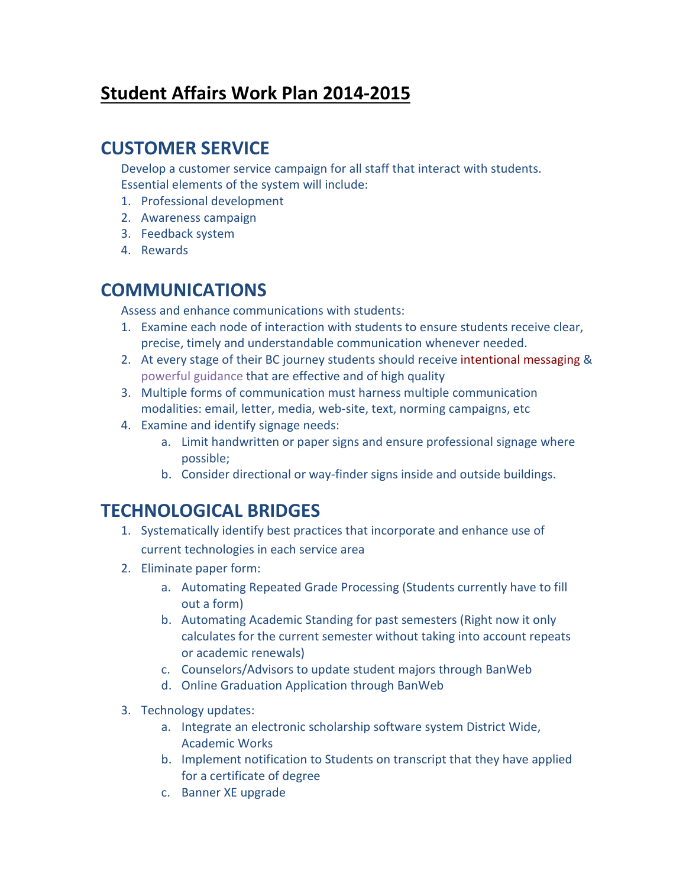# **Student Affairs Work Plan 2014-2015**

## **CUSTOMER SERVICE**

Develop a customer service campaign for all staff that interact with students. Essential elements of the system will include:

- 1. Professional development
- 2. Awareness campaign
- 3. Feedback system
- 4. Rewards

## **COMMUNICATIONS**

Assess and enhance communications with students:

- 1. Examine each node of interaction with students to ensure students receive clear, precise, timely and understandable communication whenever needed.
- 2. At every stage of their BC journey students should receive intentional messaging & powerful guidance that are effective and of high quality
- 3. Multiple forms of communication must harness multiple communication modalities: email, letter, media, web-site, text, norming campaigns, etc
- 4. Examine and identify signage needs:
	- a. Limit handwritten or paper signs and ensure professional signage where possible;
	- b. Consider directional or way-finder signs inside and outside buildings.

# **TECHNOLOGICAL BRIDGES**

- 1. Systematically identify best practices that incorporate and enhance use of current technologies in each service area
- 2. Eliminate paper form:
	- a. Automating Repeated Grade Processing (Students currently have to fill out a form)
	- b. Automating Academic Standing for past semesters (Right now it only calculates for the current semester without taking into account repeats or academic renewals)
	- c. Counselors/Advisors to update student majors through BanWeb
	- d. Online Graduation Application through BanWeb
- 3. Technology updates:
	- a. Integrate an electronic scholarship software system District Wide, Academic Works
	- b. Implement notification to Students on transcript that they have applied for a certificate of degree
	- c. Banner XE upgrade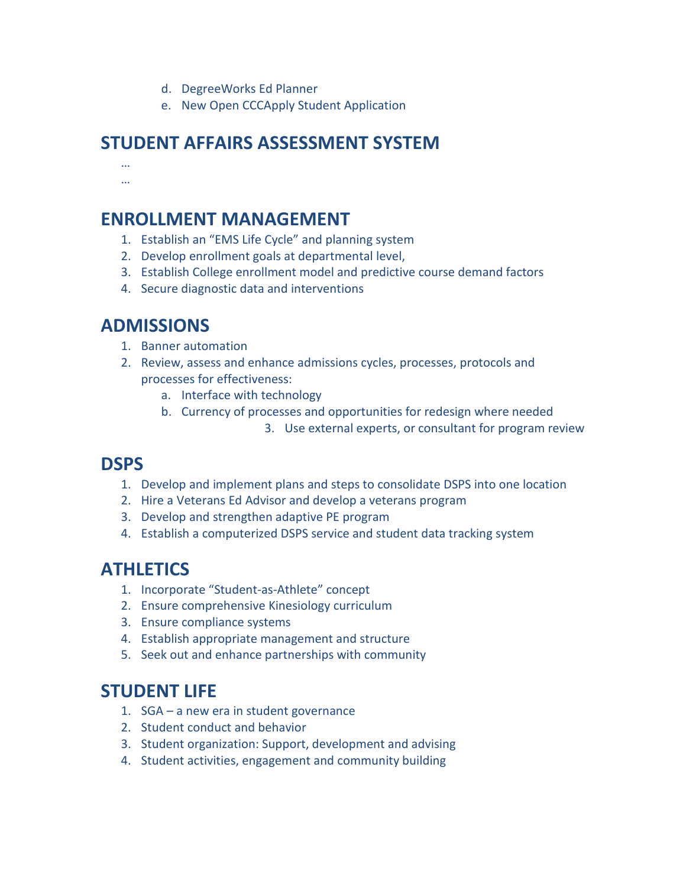- d. DegreeWorks Ed Planner
- e. New Open CCCApply Student Application

## **STUDENT AFFAIRS ASSESSMENT SYSTEM**

… …

### **ENROLLMENT MANAGEMENT**

- 1. Establish an "EMS Life Cycle" and planning system
- 2. Develop enrollment goals at departmental level,
- 3. Establish College enrollment model and predictive course demand factors
- 4. Secure diagnostic data and interventions

# **ADMISSIONS**

- 1. Banner automation
- 2. Review, assess and enhance admissions cycles, processes, protocols and processes for effectiveness:
	- a. Interface with technology
	- b. Currency of processes and opportunities for redesign where needed
		- 3. Use external experts, or consultant for program review

### **DSPS**

- 1. Develop and implement plans and steps to consolidate DSPS into one location
- 2. Hire a Veterans Ed Advisor and develop a veterans program
- 3. Develop and strengthen adaptive PE program
- 4. Establish a computerized DSPS service and student data tracking system

## **ATHLETICS**

- 1. Incorporate "Student-as-Athlete" concept
- 2. Ensure comprehensive Kinesiology curriculum
- 3. Ensure compliance systems
- 4. Establish appropriate management and structure
- 5. Seek out and enhance partnerships with community

## **STUDENT LIFE**

- 1. SGA a new era in student governance
- 2. Student conduct and behavior
- 3. Student organization: Support, development and advising
- 4. Student activities, engagement and community building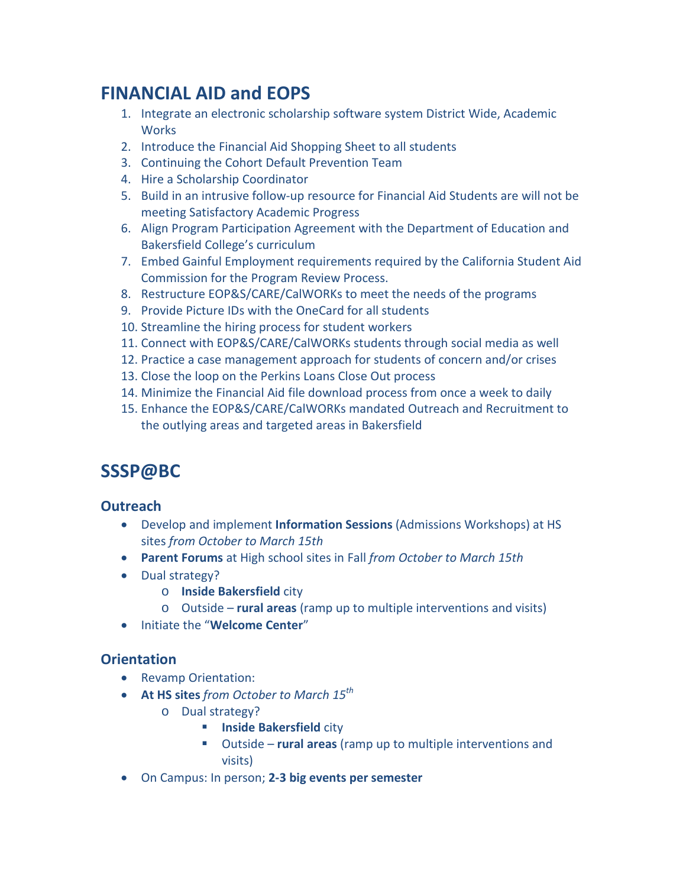# **FINANCIAL AID and EOPS**

- 1. Integrate an electronic scholarship software system District Wide, Academic **Works**
- 2. Introduce the Financial Aid Shopping Sheet to all students
- 3. Continuing the Cohort Default Prevention Team
- 4. Hire a Scholarship Coordinator
- 5. Build in an intrusive follow-up resource for Financial Aid Students are will not be meeting Satisfactory Academic Progress
- 6. Align Program Participation Agreement with the Department of Education and Bakersfield College's curriculum
- 7. Embed Gainful Employment requirements required by the California Student Aid Commission for the Program Review Process.
- 8. Restructure EOP&S/CARE/CalWORKs to meet the needs of the programs
- 9. Provide Picture IDs with the OneCard for all students
- 10. Streamline the hiring process for student workers
- 11. Connect with EOP&S/CARE/CalWORKs students through social media as well
- 12. Practice a case management approach for students of concern and/or crises
- 13. Close the loop on the Perkins Loans Close Out process
- 14. Minimize the Financial Aid file download process from once a week to daily
- 15. Enhance the EOP&S/CARE/CalWORKs mandated Outreach and Recruitment to the outlying areas and targeted areas in Bakersfield

# **SSSP@BC**

### **Outreach**

- Develop and implement **Information Sessions** (Admissions Workshops) at HS sites *from October to March 15th*
- **Parent Forums** at High school sites in Fall *from October to March 15th*
- Dual strategy?
	- o **Inside Bakersfield** city
	- o Outside **rural areas** (ramp up to multiple interventions and visits)
- Initiate the "**Welcome Center**"

### **Orientation**

- Revamp Orientation:
- **At HS sites** *from October to March 15th*
	- o Dual strategy?
		- **Inside Bakersfield city**
		- Outside **rural areas** (ramp up to multiple interventions and visits)
- On Campus: In person; **2-3 big events per semester**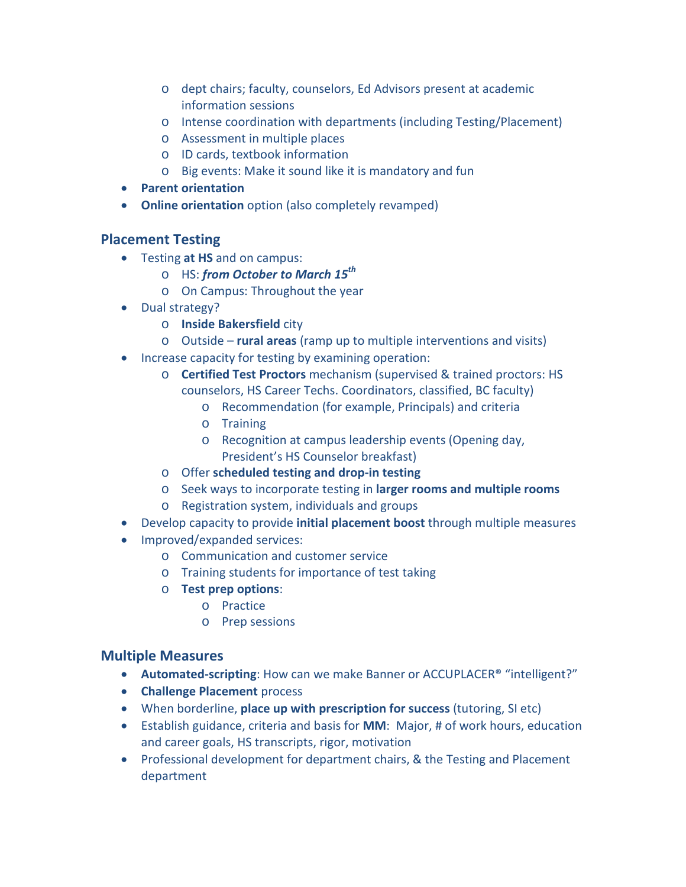- o dept chairs; faculty, counselors, Ed Advisors present at academic information sessions
- o Intense coordination with departments (including Testing/Placement)
- o Assessment in multiple places
- o ID cards, textbook information
- o Big events: Make it sound like it is mandatory and fun
- **Parent orientation**
- **Online orientation** option (also completely revamped)

### **Placement Testing**

- Testing **at HS** and on campus:
	- o HS: *from October to March 15th*
	- o On Campus: Throughout the year
- Dual strategy?
	- o **Inside Bakersfield** city
	- o Outside **rural areas** (ramp up to multiple interventions and visits)
- Increase capacity for testing by examining operation:
	- o **Certified Test Proctors** mechanism (supervised & trained proctors: HS counselors, HS Career Techs. Coordinators, classified, BC faculty)
		- o Recommendation (for example, Principals) and criteria
		- o Training
		- o Recognition at campus leadership events (Opening day, President's HS Counselor breakfast)
	- o Offer **scheduled testing and drop-in testing**
	- o Seek ways to incorporate testing in **larger rooms and multiple rooms**
	- o Registration system, individuals and groups
- Develop capacity to provide **initial placement boost** through multiple measures
- Improved/expanded services:
	- o Communication and customer service
	- o Training students for importance of test taking
	- o **Test prep options**:
		- o Practice
		- o Prep sessions

### **Multiple Measures**

- **Automated-scripting**: How can we make Banner or ACCUPLACER® "intelligent?"
- **Challenge Placement** process
- When borderline, **place up with prescription for success** (tutoring, SI etc)
- Establish guidance, criteria and basis for **MM**: Major, # of work hours, education and career goals, HS transcripts, rigor, motivation
- Professional development for department chairs, & the Testing and Placement department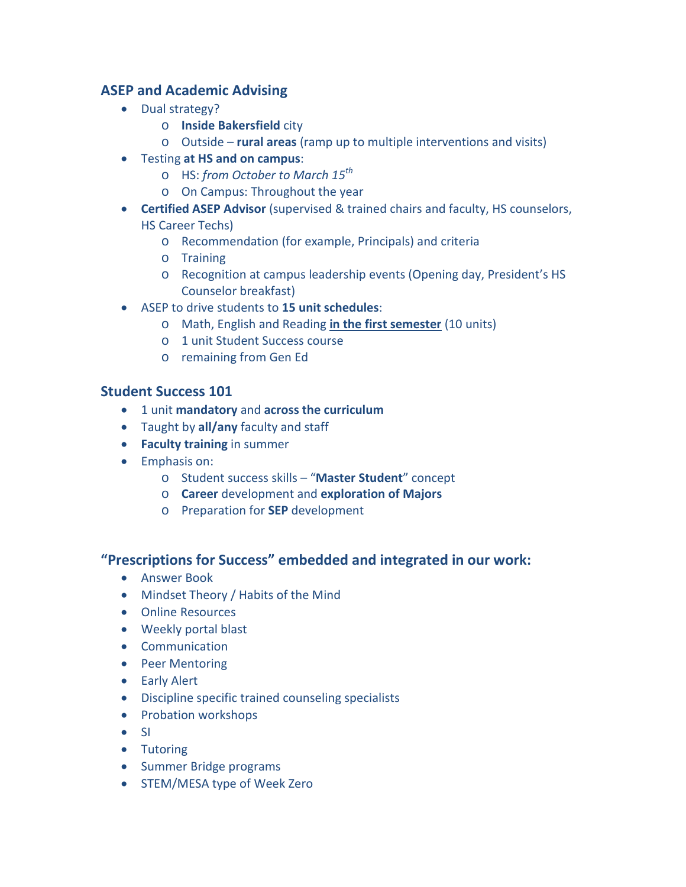### **ASEP and Academic Advising**

- Dual strategy?
	- o **Inside Bakersfield** city
	- o Outside **rural areas** (ramp up to multiple interventions and visits)
- Testing **at HS and on campus**:
	- o HS: *from October to March 15th*
	- o On Campus: Throughout the year
- **Certified ASEP Advisor** (supervised & trained chairs and faculty, HS counselors, HS Career Techs)
	- o Recommendation (for example, Principals) and criteria
	- o Training
	- o Recognition at campus leadership events (Opening day, President's HS Counselor breakfast)
- ASEP to drive students to **15 unit schedules**:
	- o Math, English and Reading **in the first semester** (10 units)
	- o 1 unit Student Success course
	- o remaining from Gen Ed

#### **Student Success 101**

- 1 unit **mandatory** and **across the curriculum**
- Taught by **all/any** faculty and staff
- **Faculty training** in summer
- Emphasis on:
	- o Student success skills "**Master Student**" concept
	- o **Career** development and **exploration of Majors**
	- o Preparation for **SEP** development

### **"Prescriptions for Success" embedded and integrated in our work:**

- Answer Book
- Mindset Theory / Habits of the Mind
- Online Resources
- Weekly portal blast
- Communication
- Peer Mentoring
- Early Alert
- Discipline specific trained counseling specialists
- Probation workshops
- SI
- Tutoring
- Summer Bridge programs
- STEM/MESA type of Week Zero